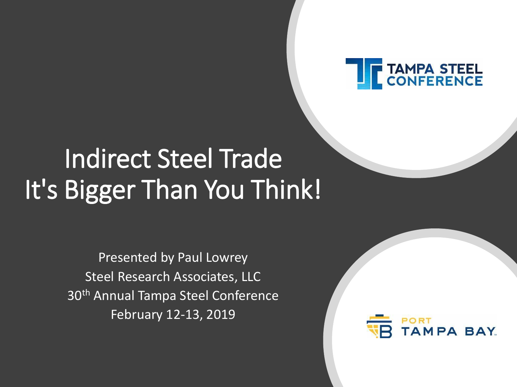

# Indirect Steel Trade It's Bigger Than You Think!

Presented by Paul Lowrey Steel Research Associates, LLC 30th Annual Tampa Steel Conference February 12-13, 2019

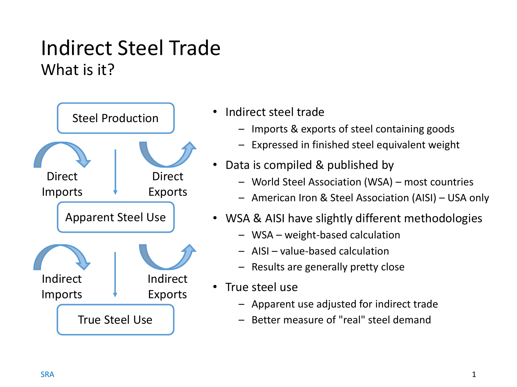#### Indirect Steel Trade What is it?



- Indirect steel trade
	- Imports & exports of steel containing goods
	- Expressed in finished steel equivalent weight
- Data is compiled & published by
	- World Steel Association (WSA) most countries
	- American Iron & Steel Association (AISI) USA only
- WSA & AISI have slightly different methodologies
	- WSA weight-based calculation
	- AISI value-based calculation
	- Results are generally pretty close
- True steel use
	- Apparent use adjusted for indirect trade
	- Better measure of "real" steel demand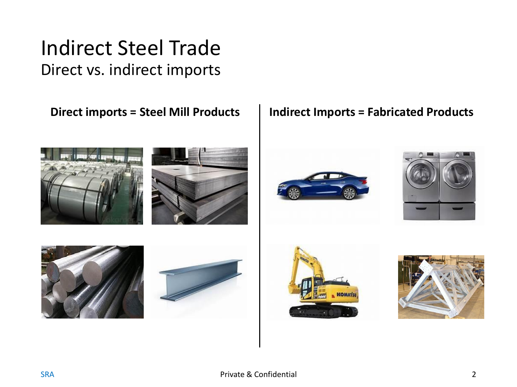#### Indirect Steel Trade Direct vs. indirect imports





#### **Direct imports = Steel Mill Products Indirect Imports = Fabricated Products**











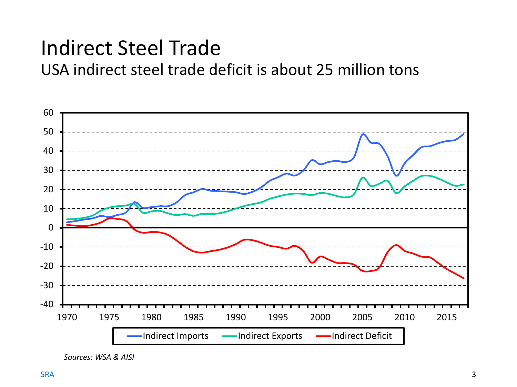USA indirect steel trade deficit is about 25 million tons



*Sources: WSA & AISI*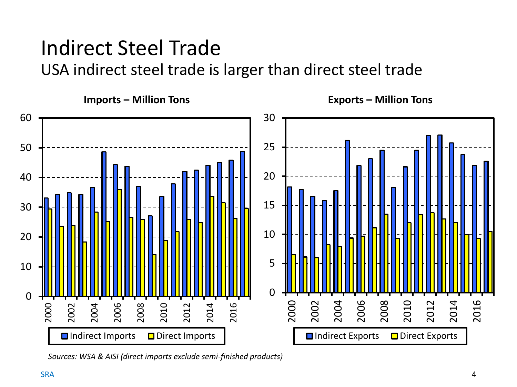USA indirect steel trade is larger than direct steel trade

**Imports – Million Tons**

**Exports – Million Tons**



*Sources: WSA & AISI (direct imports exclude semi-finished products)*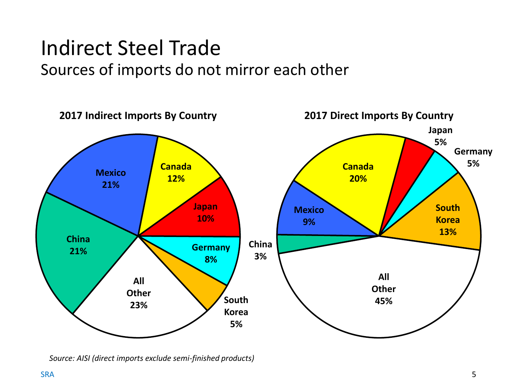Sources of imports do not mirror each other



*Source: AISI (direct imports exclude semi-finished products)*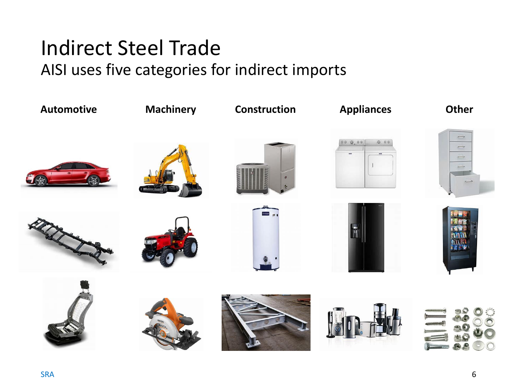#### Indirect Steel Trade AISI uses five categories for indirect imports

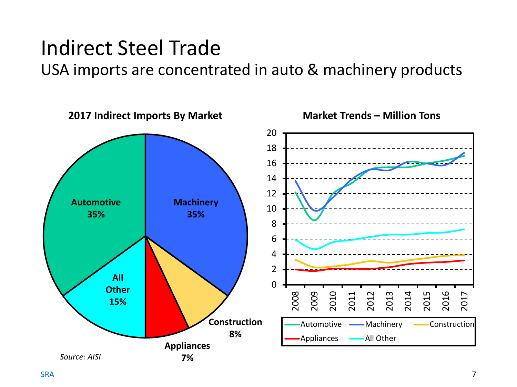USA imports are concentrated in auto & machinery products

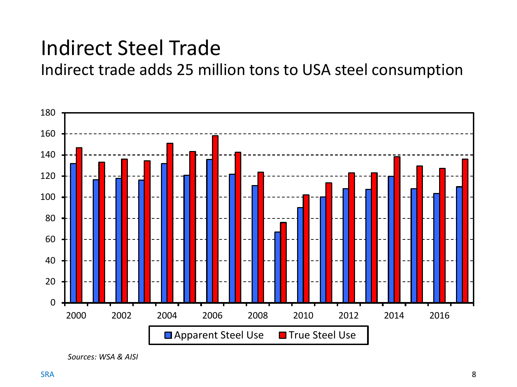Indirect trade adds 25 million tons to USA steel consumption



*Sources: WSA & AISI*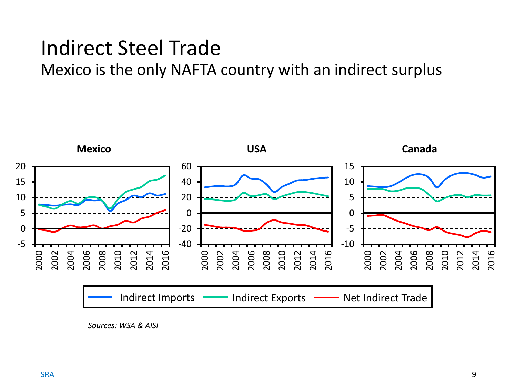#### Indirect Steel Trade Mexico is the only NAFTA country with an indirect surplus



*Sources: WSA & AISI*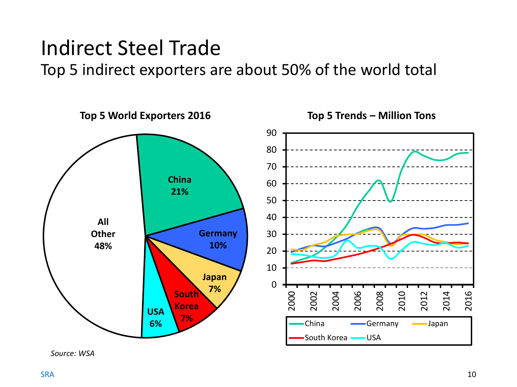Top 5 indirect exporters are about 50% of the world total



*Source: WSA*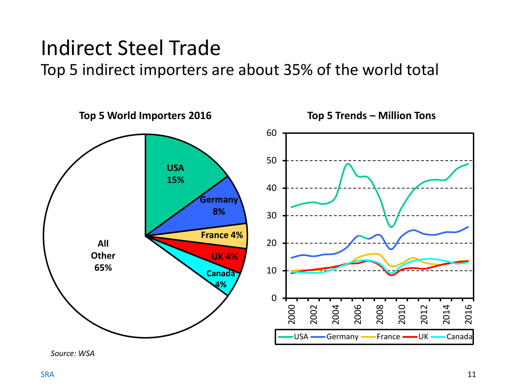Top 5 indirect importers are about 35% of the world total



*Source: WSA*